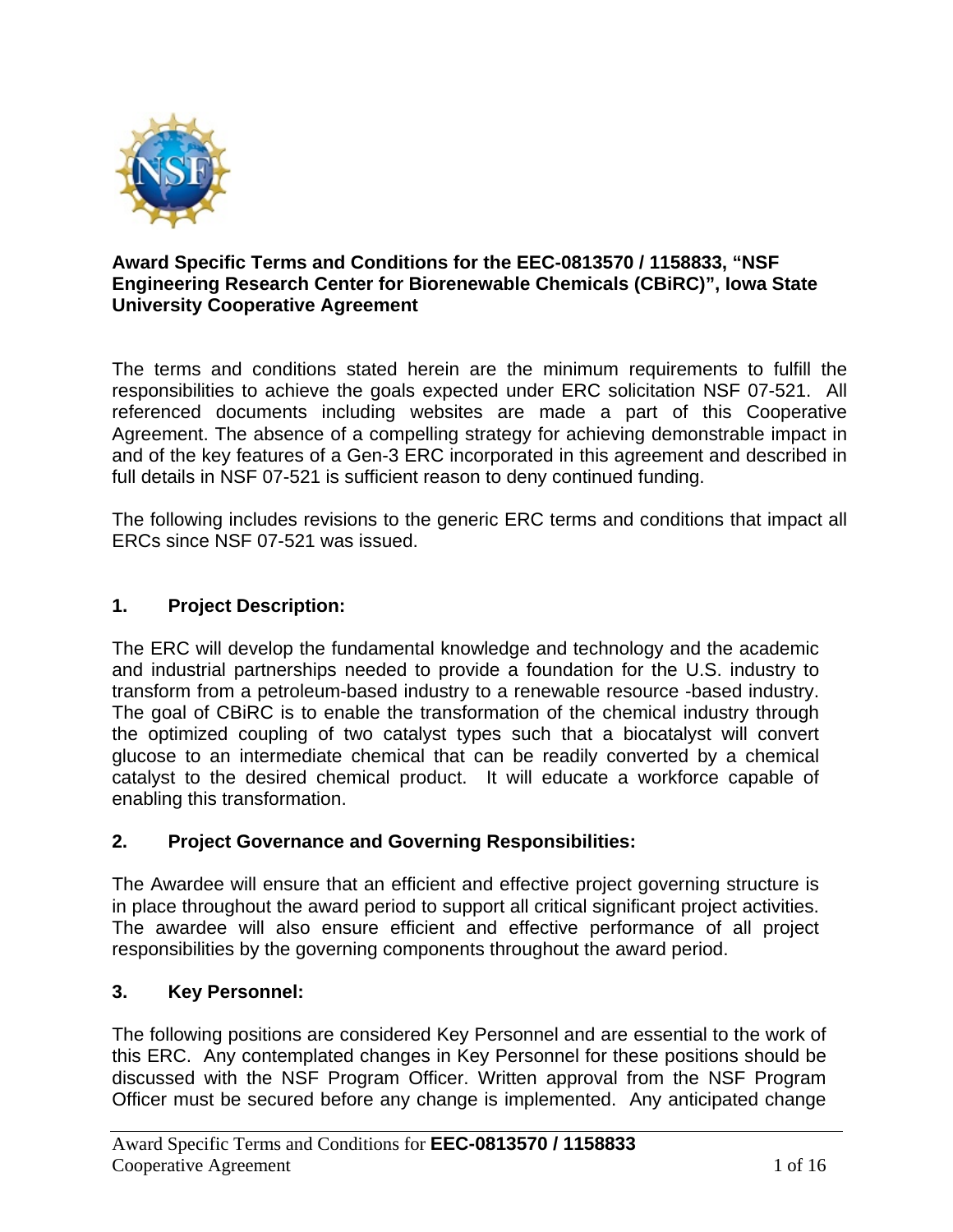

## **Award Specific Terms and Conditions for the EEC-0813570 / 1158833, "NSF Engineering Research Center for Biorenewable Chemicals (CBiRC)", Iowa State University Cooperative Agreement**

The terms and conditions stated herein are the minimum requirements to fulfill the responsibilities to achieve the goals expected under ERC solicitation NSF 07-521. All referenced documents including websites are made a part of this Cooperative Agreement. The absence of a compelling strategy for achieving demonstrable impact in and of the key features of a Gen-3 ERC incorporated in this agreement and described in full details in NSF 07-521 is sufficient reason to deny continued funding.

The following includes revisions to the generic ERC terms and conditions that impact all ERCs since NSF 07-521 was issued.

## **1. Project Description:**

The ERC will develop the fundamental knowledge and technology and the academic and industrial partnerships needed to provide a foundation for the U.S. industry to transform from a petroleum-based industry to a renewable resource -based industry. The goal of CBiRC is to enable the transformation of the chemical industry through the optimized coupling of two catalyst types such that a biocatalyst will convert glucose to an intermediate chemical that can be readily converted by a chemical catalyst to the desired chemical product. It will educate a workforce capable of enabling this transformation.

## **2. Project Governance and Governing Responsibilities:**

The Awardee will ensure that an efficient and effective project governing structure is in place throughout the award period to support all critical significant project activities. The awardee will also ensure efficient and effective performance of all project responsibilities by the governing components throughout the award period.

## **3. Key Personnel:**

The following positions are considered Key Personnel and are essential to the work of this ERC. Any contemplated changes in Key Personnel for these positions should be discussed with the NSF Program Officer. Written approval from the NSF Program Officer must be secured before any change is implemented. Any anticipated change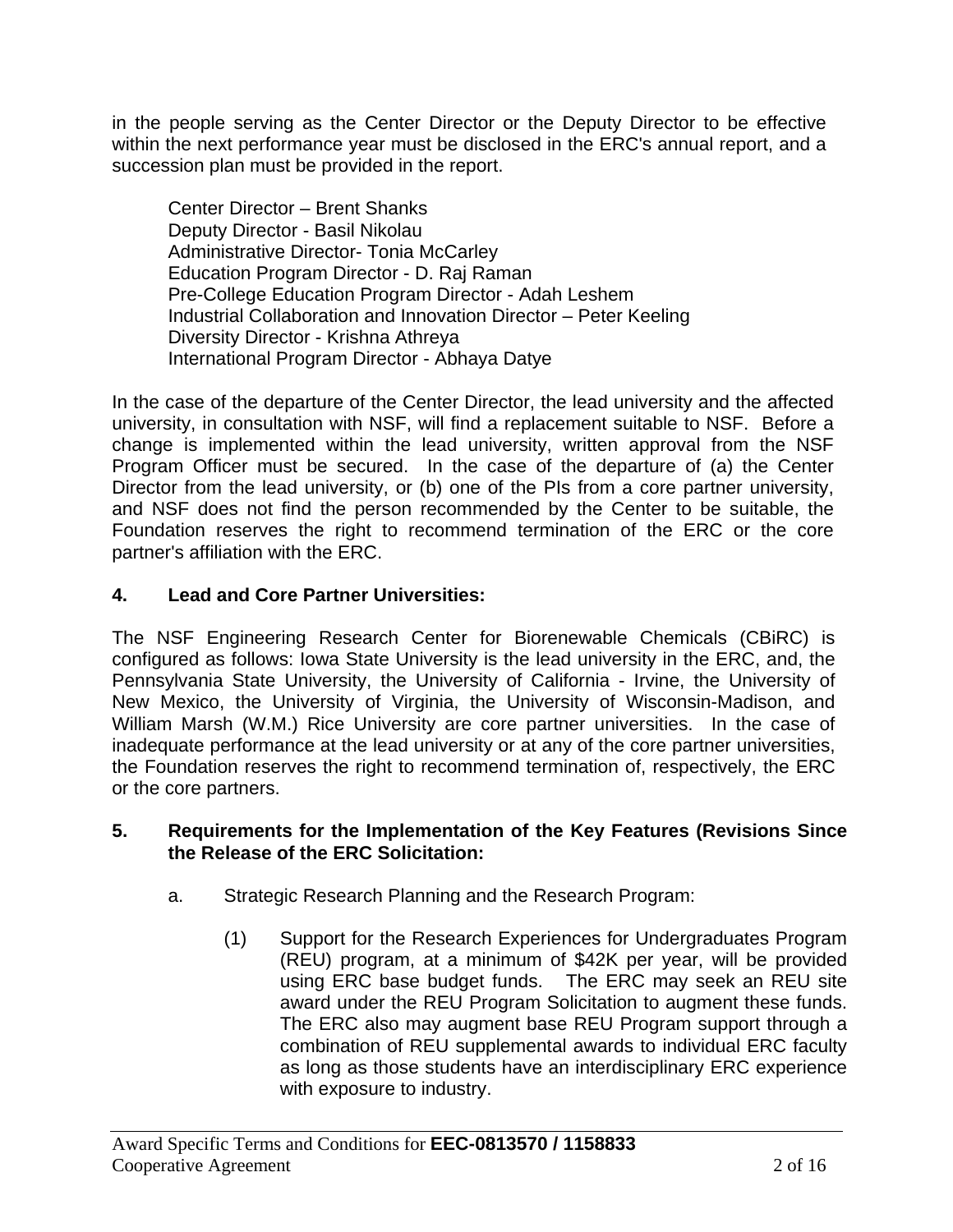in the people serving as the Center Director or the Deputy Director to be effective within the next performance year must be disclosed in the ERC's annual report, and a succession plan must be provided in the report.

Center Director – Brent Shanks Deputy Director - Basil Nikolau Administrative Director- Tonia McCarley Education Program Director - D. Raj Raman Pre-College Education Program Director - Adah Leshem Industrial Collaboration and Innovation Director – Peter Keeling Diversity Director - Krishna Athreya International Program Director - Abhaya Datye

In the case of the departure of the Center Director, the lead university and the affected university, in consultation with NSF, will find a replacement suitable to NSF. Before a change is implemented within the lead university, written approval from the NSF Program Officer must be secured. In the case of the departure of (a) the Center Director from the lead university, or (b) one of the PIs from a core partner university, and NSF does not find the person recommended by the Center to be suitable, the Foundation reserves the right to recommend termination of the ERC or the core partner's affiliation with the ERC.

## **4. Lead and Core Partner Universities:**

The NSF Engineering Research Center for Biorenewable Chemicals (CBiRC) is configured as follows: Iowa State University is the lead university in the ERC, and, the Pennsylvania State University, the University of California - Irvine, the University of New Mexico, the University of Virginia, the University of Wisconsin-Madison, and William Marsh (W.M.) Rice University are core partner universities. In the case of inadequate performance at the lead university or at any of the core partner universities, the Foundation reserves the right to recommend termination of, respectively, the ERC or the core partners.

## **5. Requirements for the Implementation of the Key Features (Revisions Since the Release of the ERC Solicitation:**

- a. Strategic Research Planning and the Research Program:
	- (1) Support for the Research Experiences for Undergraduates Program (REU) program, at a minimum of \$42K per year, will be provided using ERC base budget funds. The ERC may seek an REU site award under the REU Program Solicitation to augment these funds. The ERC also may augment base REU Program support through a combination of REU supplemental awards to individual ERC faculty as long as those students have an interdisciplinary ERC experience with exposure to industry.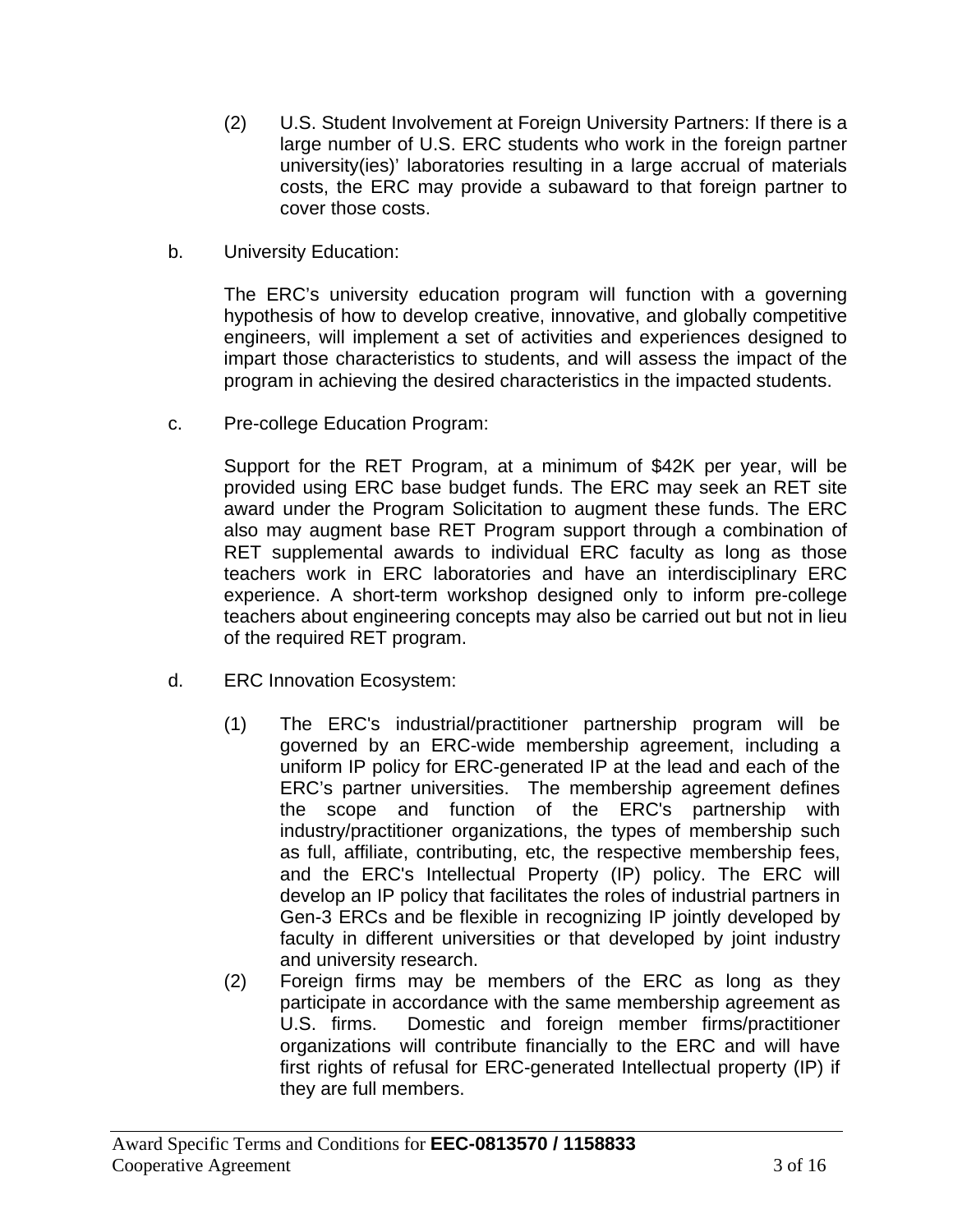- (2) U.S. Student Involvement at Foreign University Partners: If there is a large number of U.S. ERC students who work in the foreign partner university(ies)' laboratories resulting in a large accrual of materials costs, the ERC may provide a subaward to that foreign partner to cover those costs.
- b. University Education:

The ERC's university education program will function with a governing hypothesis of how to develop creative, innovative, and globally competitive engineers, will implement a set of activities and experiences designed to impart those characteristics to students, and will assess the impact of the program in achieving the desired characteristics in the impacted students.

c. Pre-college Education Program:

Support for the RET Program, at a minimum of \$42K per year, will be provided using ERC base budget funds. The ERC may seek an RET site award under the Program Solicitation to augment these funds. The ERC also may augment base RET Program support through a combination of RET supplemental awards to individual ERC faculty as long as those teachers work in ERC laboratories and have an interdisciplinary ERC experience. A short-term workshop designed only to inform pre-college teachers about engineering concepts may also be carried out but not in lieu of the required RET program.

- d. ERC Innovation Ecosystem:
	- (1) The ERC's industrial/practitioner partnership program will be governed by an ERC-wide membership agreement, including a uniform IP policy for ERC-generated IP at the lead and each of the ERC's partner universities. The membership agreement defines the scope and function of the ERC's partnership with industry/practitioner organizations, the types of membership such as full, affiliate, contributing, etc, the respective membership fees, and the ERC's Intellectual Property (IP) policy. The ERC will develop an IP policy that facilitates the roles of industrial partners in Gen-3 ERCs and be flexible in recognizing IP jointly developed by faculty in different universities or that developed by joint industry and university research.
	- (2) Foreign firms may be members of the ERC as long as they participate in accordance with the same membership agreement as U.S. firms. Domestic and foreign member firms/practitioner organizations will contribute financially to the ERC and will have first rights of refusal for ERC-generated Intellectual property (IP) if they are full members.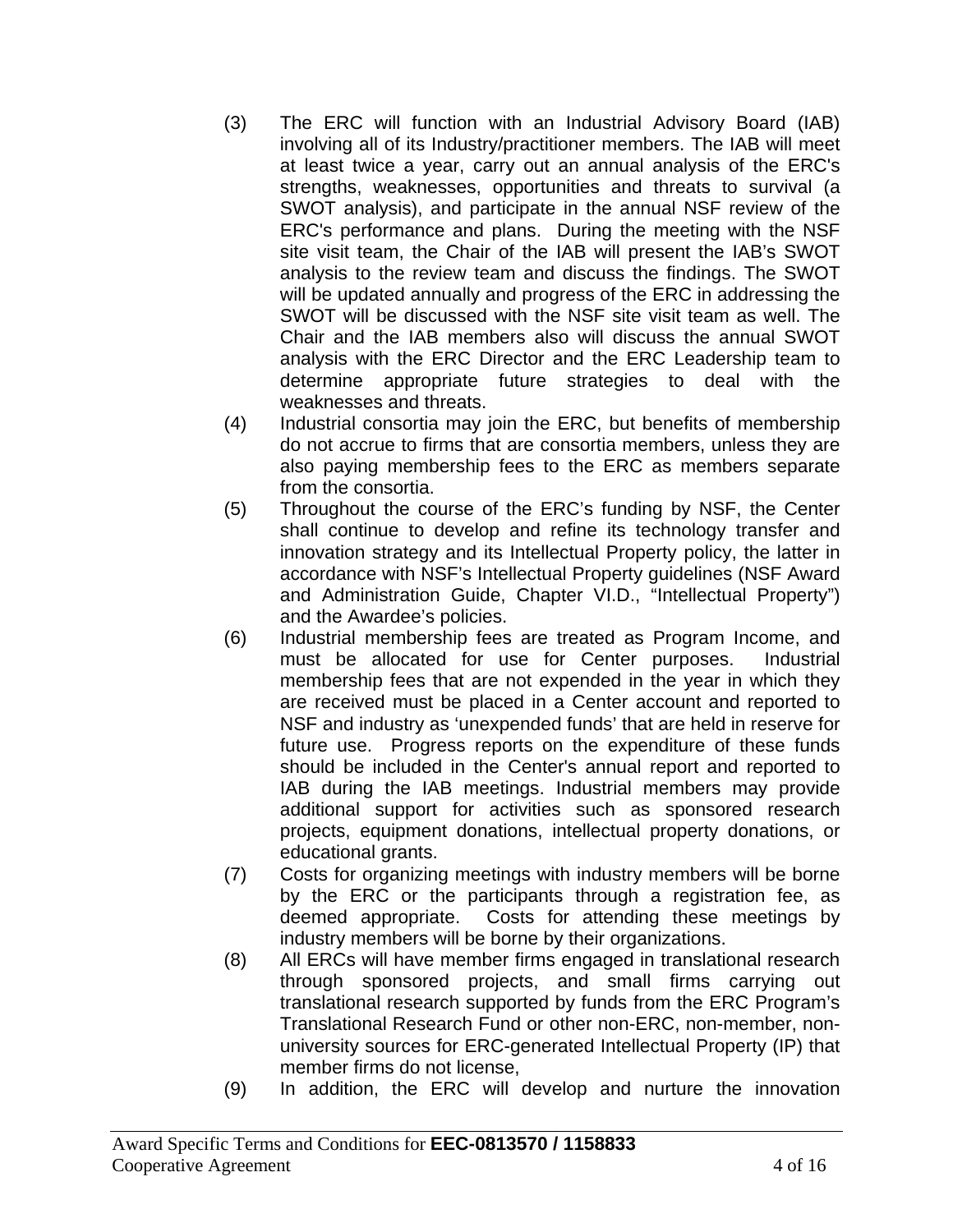- (3) The ERC will function with an Industrial Advisory Board (IAB) involving all of its Industry/practitioner members. The IAB will meet at least twice a year, carry out an annual analysis of the ERC's strengths, weaknesses, opportunities and threats to survival (a SWOT analysis), and participate in the annual NSF review of the ERC's performance and plans. During the meeting with the NSF site visit team, the Chair of the IAB will present the IAB's SWOT analysis to the review team and discuss the findings. The SWOT will be updated annually and progress of the ERC in addressing the SWOT will be discussed with the NSF site visit team as well. The Chair and the IAB members also will discuss the annual SWOT analysis with the ERC Director and the ERC Leadership team to determine appropriate future strategies to deal with the weaknesses and threats.
- (4) Industrial consortia may join the ERC, but benefits of membership do not accrue to firms that are consortia members, unless they are also paying membership fees to the ERC as members separate from the consortia.
- (5) Throughout the course of the ERC's funding by NSF, the Center shall continue to develop and refine its technology transfer and innovation strategy and its Intellectual Property policy, the latter in accordance with NSF's Intellectual Property guidelines (NSF Award and Administration Guide, Chapter VI.D., "Intellectual Property") and the Awardee's policies.
- (6) Industrial membership fees are treated as Program Income, and must be allocated for use for Center purposes. Industrial membership fees that are not expended in the year in which they are received must be placed in a Center account and reported to NSF and industry as 'unexpended funds' that are held in reserve for future use. Progress reports on the expenditure of these funds should be included in the Center's annual report and reported to IAB during the IAB meetings. Industrial members may provide additional support for activities such as sponsored research projects, equipment donations, intellectual property donations, or educational grants.
- (7) Costs for organizing meetings with industry members will be borne by the ERC or the participants through a registration fee, as deemed appropriate. Costs for attending these meetings by industry members will be borne by their organizations.
- (8) All ERCs will have member firms engaged in translational research through sponsored projects, and small firms carrying out translational research supported by funds from the ERC Program's Translational Research Fund or other non-ERC, non-member, nonuniversity sources for ERC-generated Intellectual Property (IP) that member firms do not license,
- (9) In addition, the ERC will develop and nurture the innovation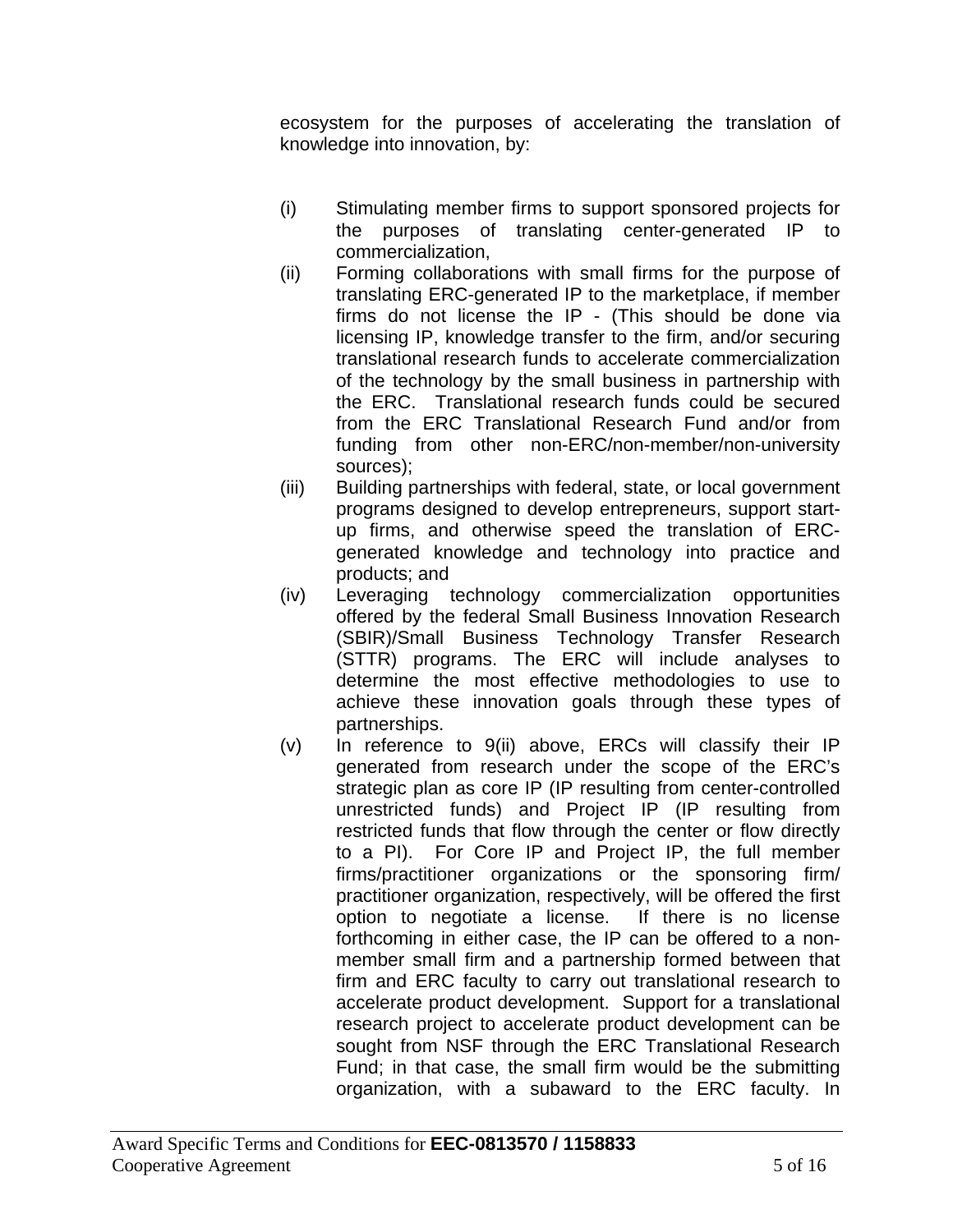ecosystem for the purposes of accelerating the translation of knowledge into innovation, by:

- (i) Stimulating member firms to support sponsored projects for the purposes of translating center-generated IP to commercialization,
- (ii) Forming collaborations with small firms for the purpose of translating ERC-generated IP to the marketplace, if member firms do not license the IP - (This should be done via licensing IP, knowledge transfer to the firm, and/or securing translational research funds to accelerate commercialization of the technology by the small business in partnership with the ERC. Translational research funds could be secured from the ERC Translational Research Fund and/or from funding from other non-ERC/non-member/non-university sources);
- (iii) Building partnerships with federal, state, or local government programs designed to develop entrepreneurs, support startup firms, and otherwise speed the translation of ERCgenerated knowledge and technology into practice and products; and
- (iv) Leveraging technology commercialization opportunities offered by the federal Small Business Innovation Research (SBIR)/Small Business Technology Transfer Research (STTR) programs. The ERC will include analyses to determine the most effective methodologies to use to achieve these innovation goals through these types of partnerships.
- (v) In reference to 9(ii) above, ERCs will classify their IP generated from research under the scope of the ERC's strategic plan as core IP (IP resulting from center-controlled unrestricted funds) and Project IP (IP resulting from restricted funds that flow through the center or flow directly to a PI). For Core IP and Project IP, the full member firms/practitioner organizations or the sponsoring firm/ practitioner organization, respectively, will be offered the first option to negotiate a license. If there is no license forthcoming in either case, the IP can be offered to a nonmember small firm and a partnership formed between that firm and ERC faculty to carry out translational research to accelerate product development. Support for a translational research project to accelerate product development can be sought from NSF through the ERC Translational Research Fund; in that case, the small firm would be the submitting organization, with a subaward to the ERC faculty. In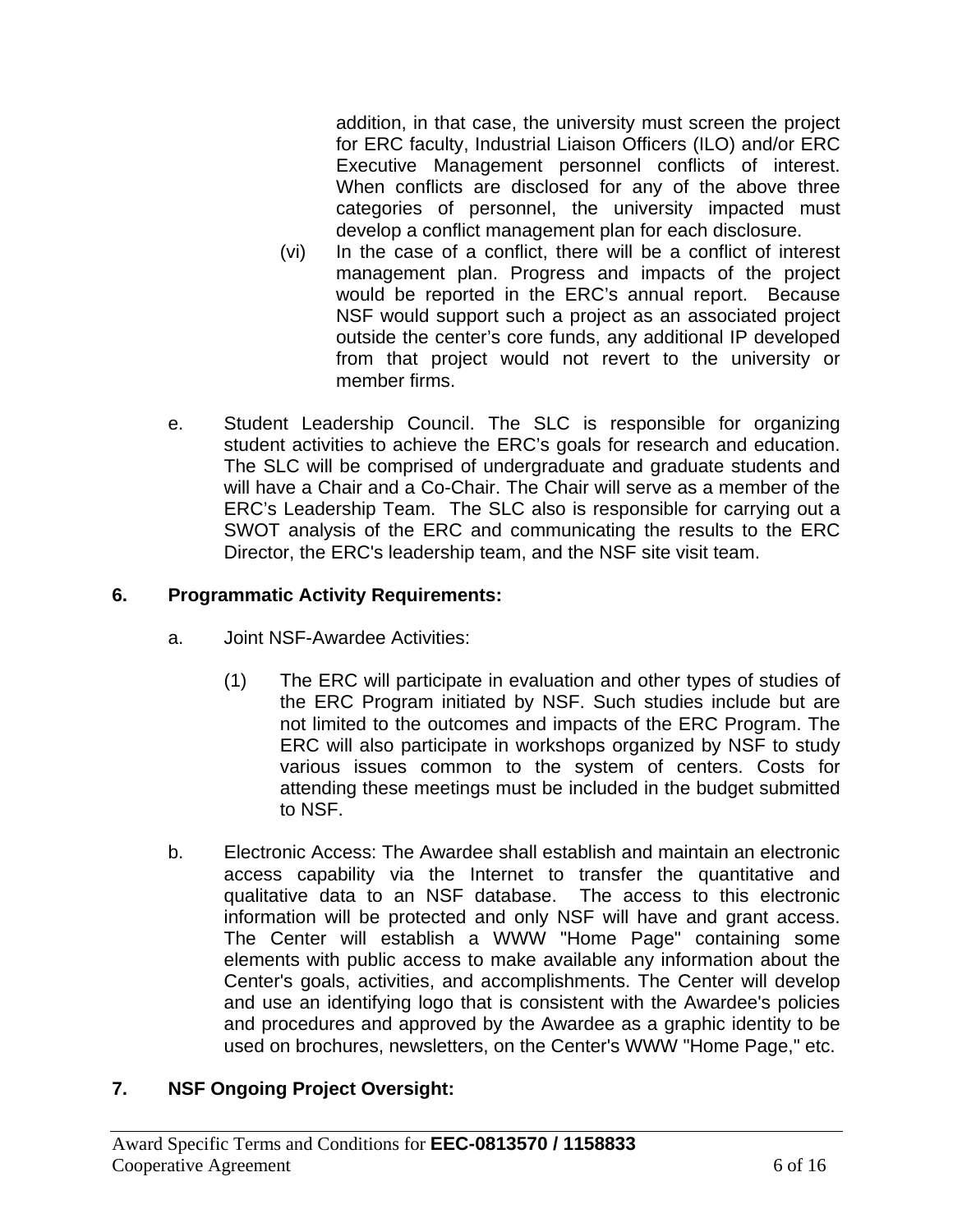addition, in that case, the university must screen the project for ERC faculty, Industrial Liaison Officers (ILO) and/or ERC Executive Management personnel conflicts of interest. When conflicts are disclosed for any of the above three categories of personnel, the university impacted must develop a conflict management plan for each disclosure.

- (vi) In the case of a conflict, there will be a conflict of interest management plan. Progress and impacts of the project would be reported in the ERC's annual report. Because NSF would support such a project as an associated project outside the center's core funds, any additional IP developed from that project would not revert to the university or member firms.
- e. Student Leadership Council. The SLC is responsible for organizing student activities to achieve the ERC's goals for research and education. The SLC will be comprised of undergraduate and graduate students and will have a Chair and a Co-Chair. The Chair will serve as a member of the ERC's Leadership Team. The SLC also is responsible for carrying out a SWOT analysis of the ERC and communicating the results to the ERC Director, the ERC's leadership team, and the NSF site visit team.

## **6. Programmatic Activity Requirements:**

- a. Joint NSF-Awardee Activities:
	- (1) The ERC will participate in evaluation and other types of studies of the ERC Program initiated by NSF. Such studies include but are not limited to the outcomes and impacts of the ERC Program. The ERC will also participate in workshops organized by NSF to study various issues common to the system of centers. Costs for attending these meetings must be included in the budget submitted to NSF.
- b. Electronic Access: The Awardee shall establish and maintain an electronic access capability via the Internet to transfer the quantitative and qualitative data to an NSF database. The access to this electronic information will be protected and only NSF will have and grant access. The Center will establish a WWW "Home Page" containing some elements with public access to make available any information about the Center's goals, activities, and accomplishments. The Center will develop and use an identifying logo that is consistent with the Awardee's policies and procedures and approved by the Awardee as a graphic identity to be used on brochures, newsletters, on the Center's WWW "Home Page," etc.

# **7. NSF Ongoing Project Oversight:**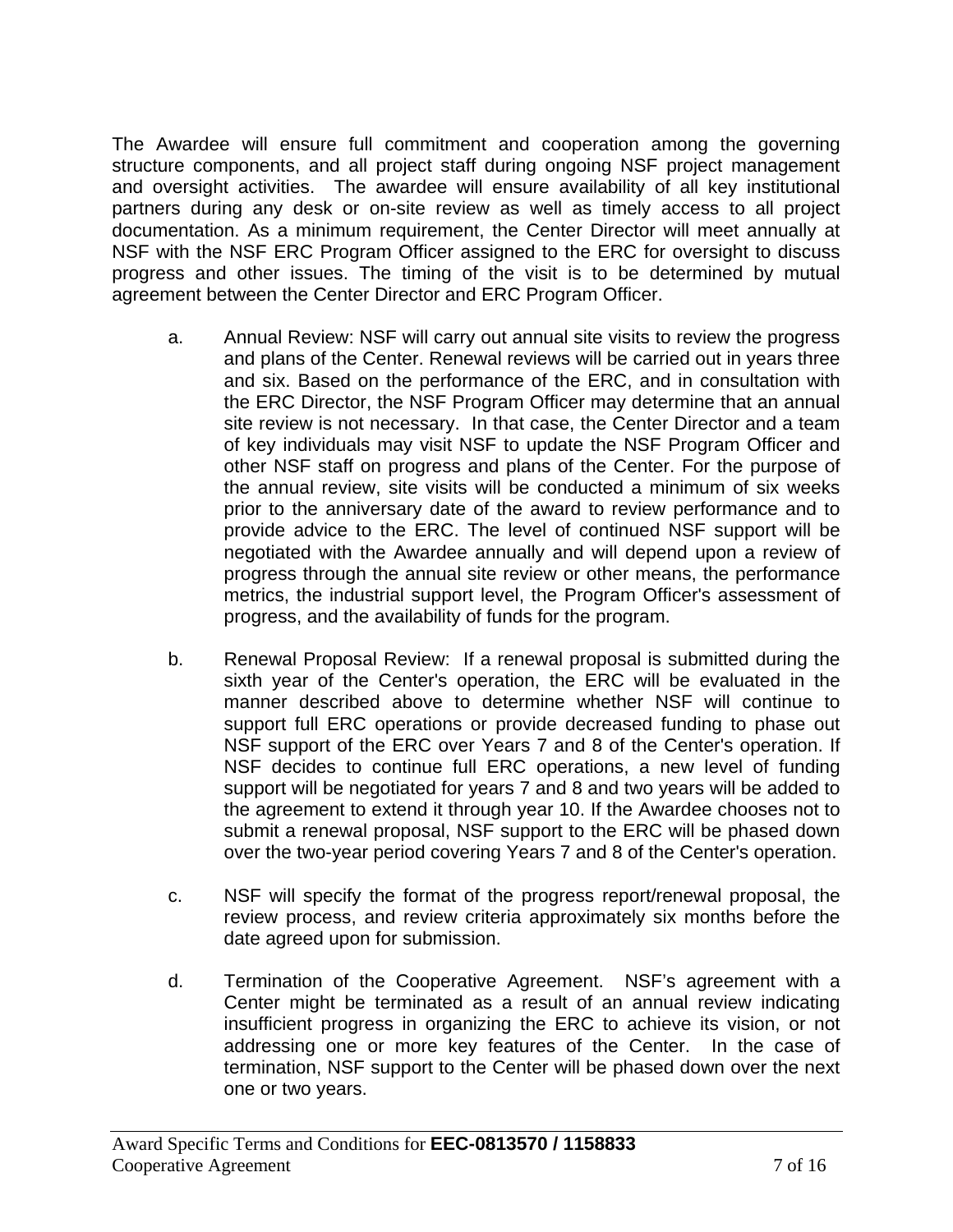The Awardee will ensure full commitment and cooperation among the governing structure components, and all project staff during ongoing NSF project management and oversight activities. The awardee will ensure availability of all key institutional partners during any desk or on-site review as well as timely access to all project documentation. As a minimum requirement, the Center Director will meet annually at NSF with the NSF ERC Program Officer assigned to the ERC for oversight to discuss progress and other issues. The timing of the visit is to be determined by mutual agreement between the Center Director and ERC Program Officer.

- a. Annual Review: NSF will carry out annual site visits to review the progress and plans of the Center. Renewal reviews will be carried out in years three and six. Based on the performance of the ERC, and in consultation with the ERC Director, the NSF Program Officer may determine that an annual site review is not necessary. In that case, the Center Director and a team of key individuals may visit NSF to update the NSF Program Officer and other NSF staff on progress and plans of the Center. For the purpose of the annual review, site visits will be conducted a minimum of six weeks prior to the anniversary date of the award to review performance and to provide advice to the ERC. The level of continued NSF support will be negotiated with the Awardee annually and will depend upon a review of progress through the annual site review or other means, the performance metrics, the industrial support level, the Program Officer's assessment of progress, and the availability of funds for the program.
- b. Renewal Proposal Review: If a renewal proposal is submitted during the sixth year of the Center's operation, the ERC will be evaluated in the manner described above to determine whether NSF will continue to support full ERC operations or provide decreased funding to phase out NSF support of the ERC over Years 7 and 8 of the Center's operation. If NSF decides to continue full ERC operations, a new level of funding support will be negotiated for years 7 and 8 and two years will be added to the agreement to extend it through year 10. If the Awardee chooses not to submit a renewal proposal, NSF support to the ERC will be phased down over the two-year period covering Years 7 and 8 of the Center's operation.
- c. NSF will specify the format of the progress report/renewal proposal, the review process, and review criteria approximately six months before the date agreed upon for submission.
- d. Termination of the Cooperative Agreement. NSF's agreement with a Center might be terminated as a result of an annual review indicating insufficient progress in organizing the ERC to achieve its vision, or not addressing one or more key features of the Center. In the case of termination, NSF support to the Center will be phased down over the next one or two years.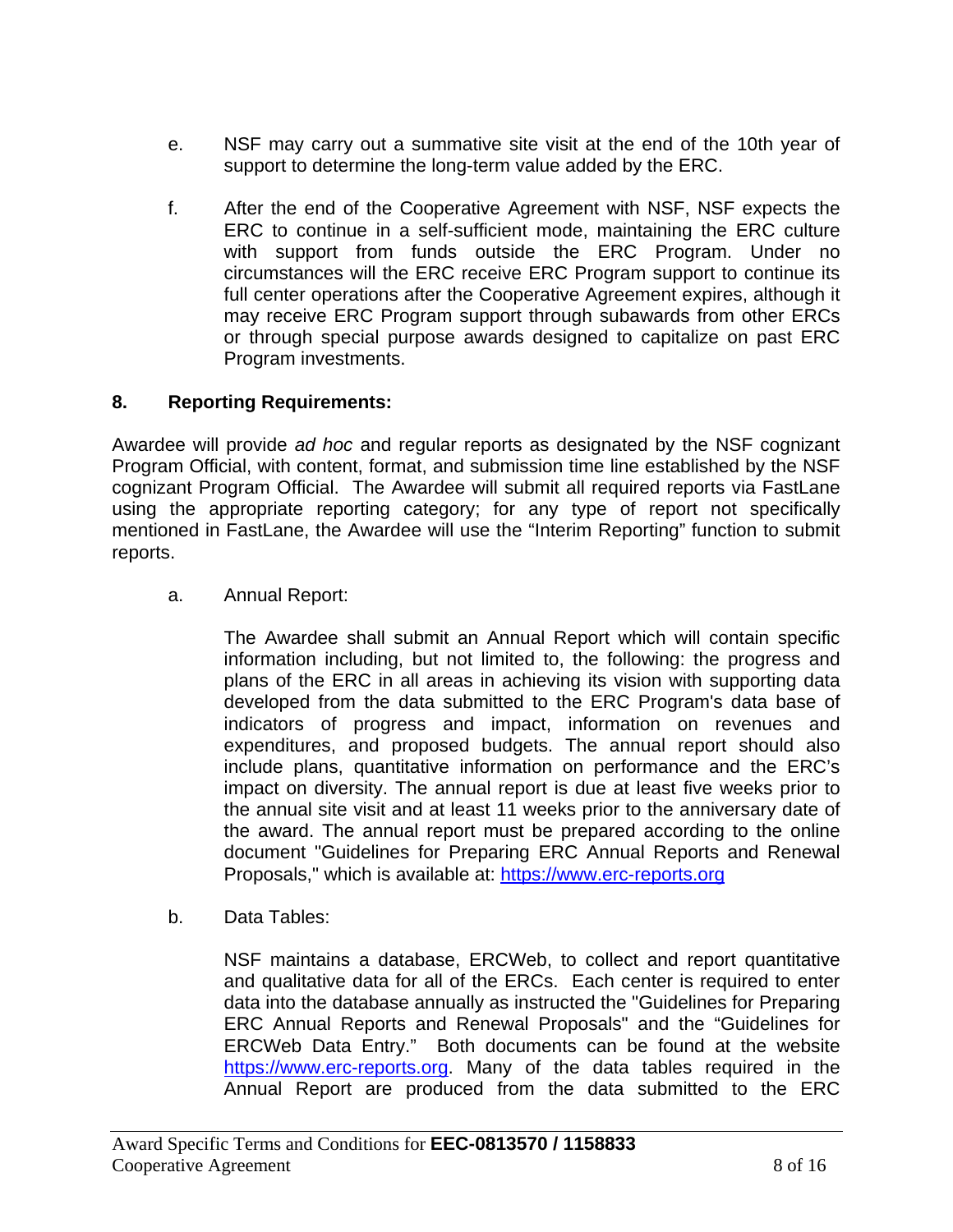- e. NSF may carry out a summative site visit at the end of the 10th year of support to determine the long-term value added by the ERC.
- f. After the end of the Cooperative Agreement with NSF, NSF expects the ERC to continue in a self-sufficient mode, maintaining the ERC culture with support from funds outside the ERC Program. Under no circumstances will the ERC receive ERC Program support to continue its full center operations after the Cooperative Agreement expires, although it may receive ERC Program support through subawards from other ERCs or through special purpose awards designed to capitalize on past ERC Program investments.

## **8. Reporting Requirements:**

Awardee will provide *ad hoc* and regular reports as designated by the NSF cognizant Program Official, with content, format, and submission time line established by the NSF cognizant Program Official. The Awardee will submit all required reports via FastLane using the appropriate reporting category; for any type of report not specifically mentioned in FastLane, the Awardee will use the "Interim Reporting" function to submit reports.

a. Annual Report:

The Awardee shall submit an Annual Report which will contain specific information including, but not limited to, the following: the progress and plans of the ERC in all areas in achieving its vision with supporting data developed from the data submitted to the ERC Program's data base of indicators of progress and impact, information on revenues and expenditures, and proposed budgets. The annual report should also include plans, quantitative information on performance and the ERC's impact on diversity. The annual report is due at least five weeks prior to the annual site visit and at least 11 weeks prior to the anniversary date of the award. The annual report must be prepared according to the online document "Guidelines for Preparing ERC Annual Reports and Renewal Proposals," which is available at: https://www.erc-reports.org

b. Data Tables:

NSF maintains a database, ERCWeb, to collect and report quantitative and qualitative data for all of the ERCs. Each center is required to enter data into the database annually as instructed the "Guidelines for Preparing ERC Annual Reports and Renewal Proposals" and the "Guidelines for ERCWeb Data Entry." Both documents can be found at the website https://www.erc-reports.org. Many of the data tables required in the Annual Report are produced from the data submitted to the ERC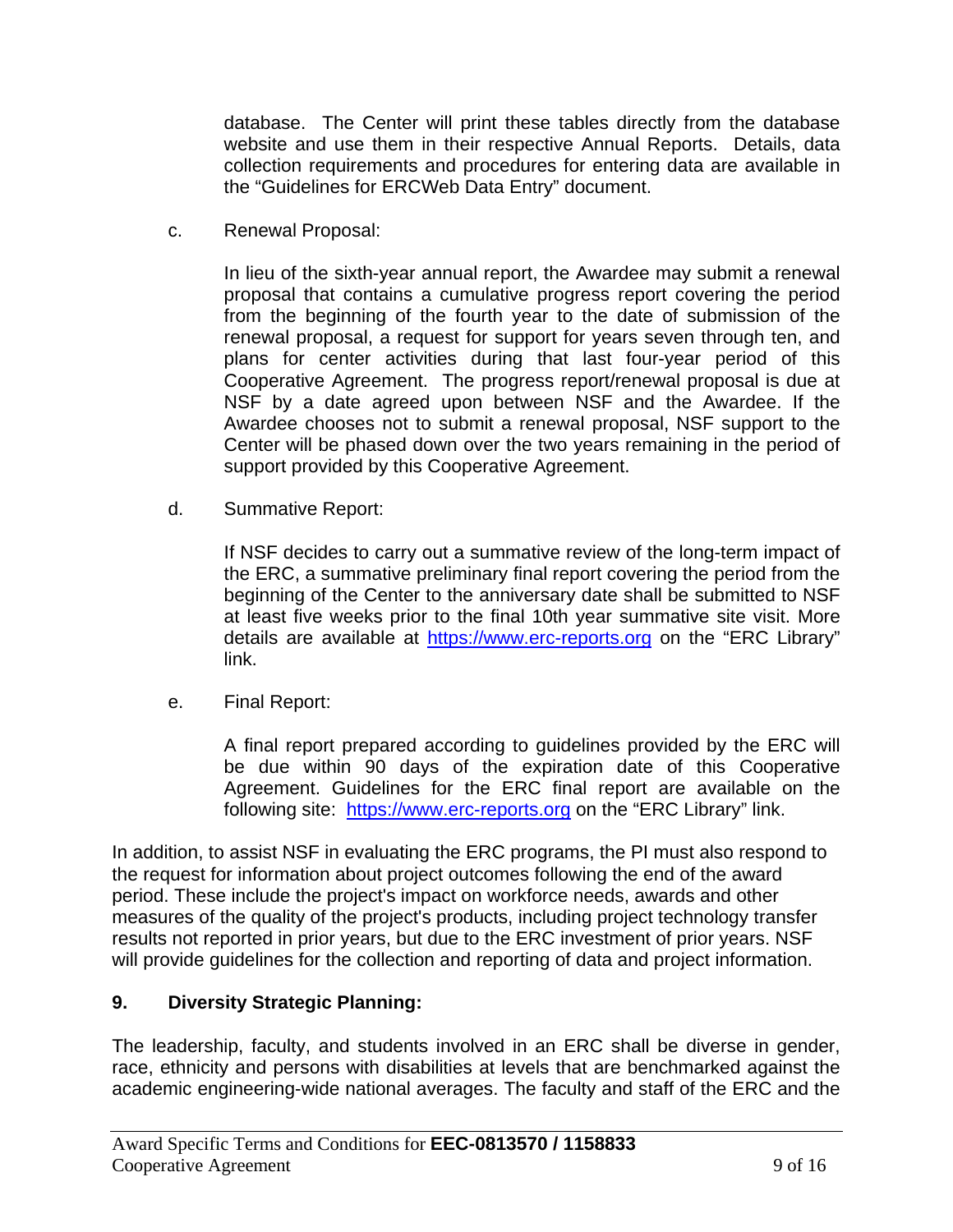database. The Center will print these tables directly from the database website and use them in their respective Annual Reports. Details, data collection requirements and procedures for entering data are available in the "Guidelines for ERCWeb Data Entry" document.

c. Renewal Proposal:

In lieu of the sixth-year annual report, the Awardee may submit a renewal proposal that contains a cumulative progress report covering the period from the beginning of the fourth year to the date of submission of the renewal proposal, a request for support for years seven through ten, and plans for center activities during that last four-year period of this Cooperative Agreement. The progress report/renewal proposal is due at NSF by a date agreed upon between NSF and the Awardee. If the Awardee chooses not to submit a renewal proposal, NSF support to the Center will be phased down over the two years remaining in the period of support provided by this Cooperative Agreement.

d. Summative Report:

If NSF decides to carry out a summative review of the long-term impact of the ERC, a summative preliminary final report covering the period from the beginning of the Center to the anniversary date shall be submitted to NSF at least five weeks prior to the final 10th year summative site visit. More details are available at https://www.erc-reports.org on the "ERC Library" link.

e. Final Report:

A final report prepared according to guidelines provided by the ERC will be due within 90 days of the expiration date of this Cooperative Agreement. Guidelines for the ERC final report are available on the following site: https://www.erc-reports.org on the "ERC Library" link.

In addition, to assist NSF in evaluating the ERC programs, the PI must also respond to the request for information about project outcomes following the end of the award period. These include the project's impact on workforce needs, awards and other measures of the quality of the project's products, including project technology transfer results not reported in prior years, but due to the ERC investment of prior years. NSF will provide guidelines for the collection and reporting of data and project information.

## **9. Diversity Strategic Planning:**

The leadership, faculty, and students involved in an ERC shall be diverse in gender, race, ethnicity and persons with disabilities at levels that are benchmarked against the academic engineering-wide national averages. The faculty and staff of the ERC and the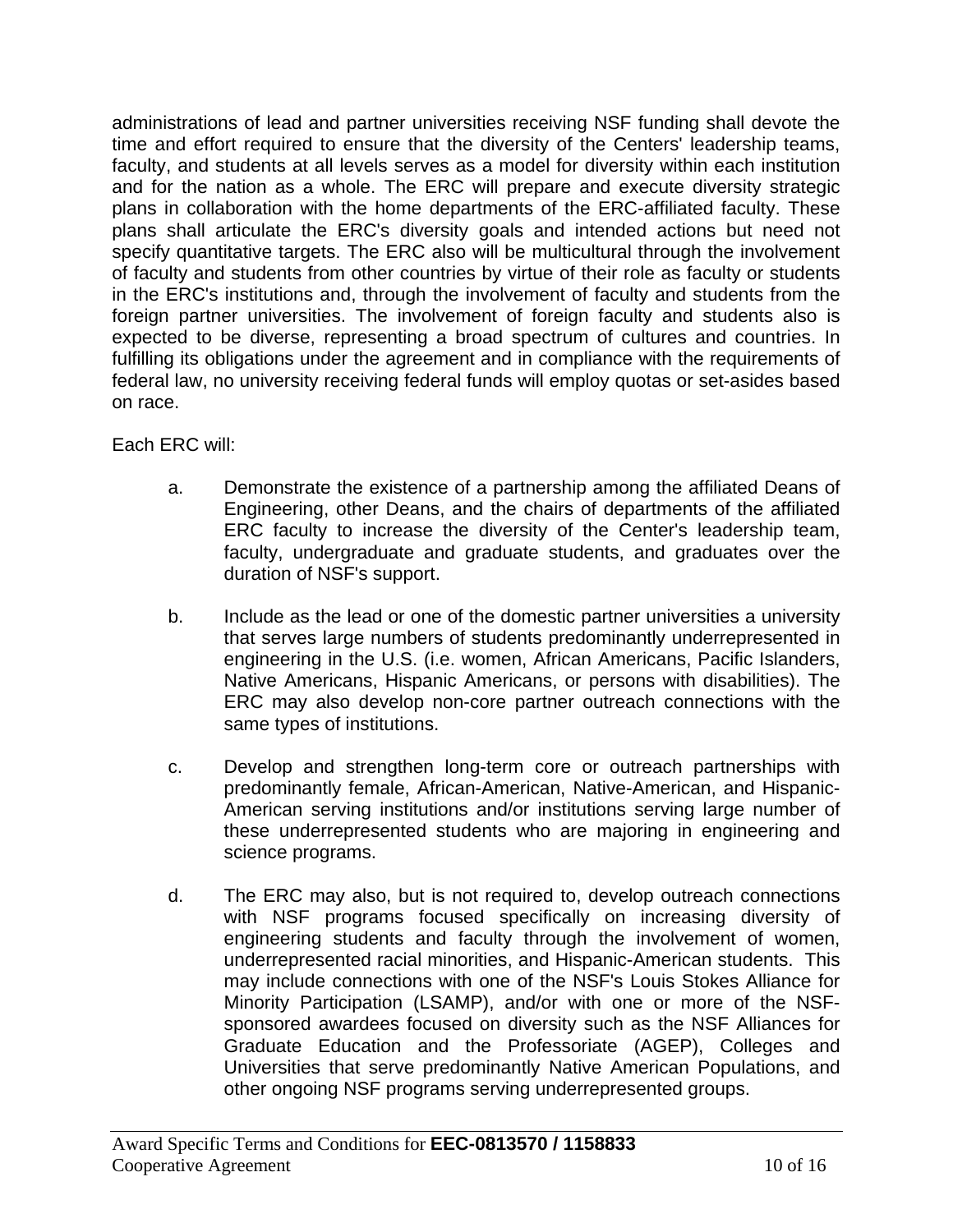administrations of lead and partner universities receiving NSF funding shall devote the time and effort required to ensure that the diversity of the Centers' leadership teams, faculty, and students at all levels serves as a model for diversity within each institution and for the nation as a whole. The ERC will prepare and execute diversity strategic plans in collaboration with the home departments of the ERC-affiliated faculty. These plans shall articulate the ERC's diversity goals and intended actions but need not specify quantitative targets. The ERC also will be multicultural through the involvement of faculty and students from other countries by virtue of their role as faculty or students in the ERC's institutions and, through the involvement of faculty and students from the foreign partner universities. The involvement of foreign faculty and students also is expected to be diverse, representing a broad spectrum of cultures and countries. In fulfilling its obligations under the agreement and in compliance with the requirements of federal law, no university receiving federal funds will employ quotas or set-asides based on race.

Each ERC will:

- a. Demonstrate the existence of a partnership among the affiliated Deans of Engineering, other Deans, and the chairs of departments of the affiliated ERC faculty to increase the diversity of the Center's leadership team, faculty, undergraduate and graduate students, and graduates over the duration of NSF's support.
- b. Include as the lead or one of the domestic partner universities a university that serves large numbers of students predominantly underrepresented in engineering in the U.S. (i.e. women, African Americans, Pacific Islanders, Native Americans, Hispanic Americans, or persons with disabilities). The ERC may also develop non-core partner outreach connections with the same types of institutions.
- c. Develop and strengthen long-term core or outreach partnerships with predominantly female, African-American, Native-American, and Hispanic-American serving institutions and/or institutions serving large number of these underrepresented students who are majoring in engineering and science programs.
- d. The ERC may also, but is not required to, develop outreach connections with NSF programs focused specifically on increasing diversity of engineering students and faculty through the involvement of women, underrepresented racial minorities, and Hispanic-American students. This may include connections with one of the NSF's Louis Stokes Alliance for Minority Participation (LSAMP), and/or with one or more of the NSFsponsored awardees focused on diversity such as the NSF Alliances for Graduate Education and the Professoriate (AGEP), Colleges and Universities that serve predominantly Native American Populations, and other ongoing NSF programs serving underrepresented groups.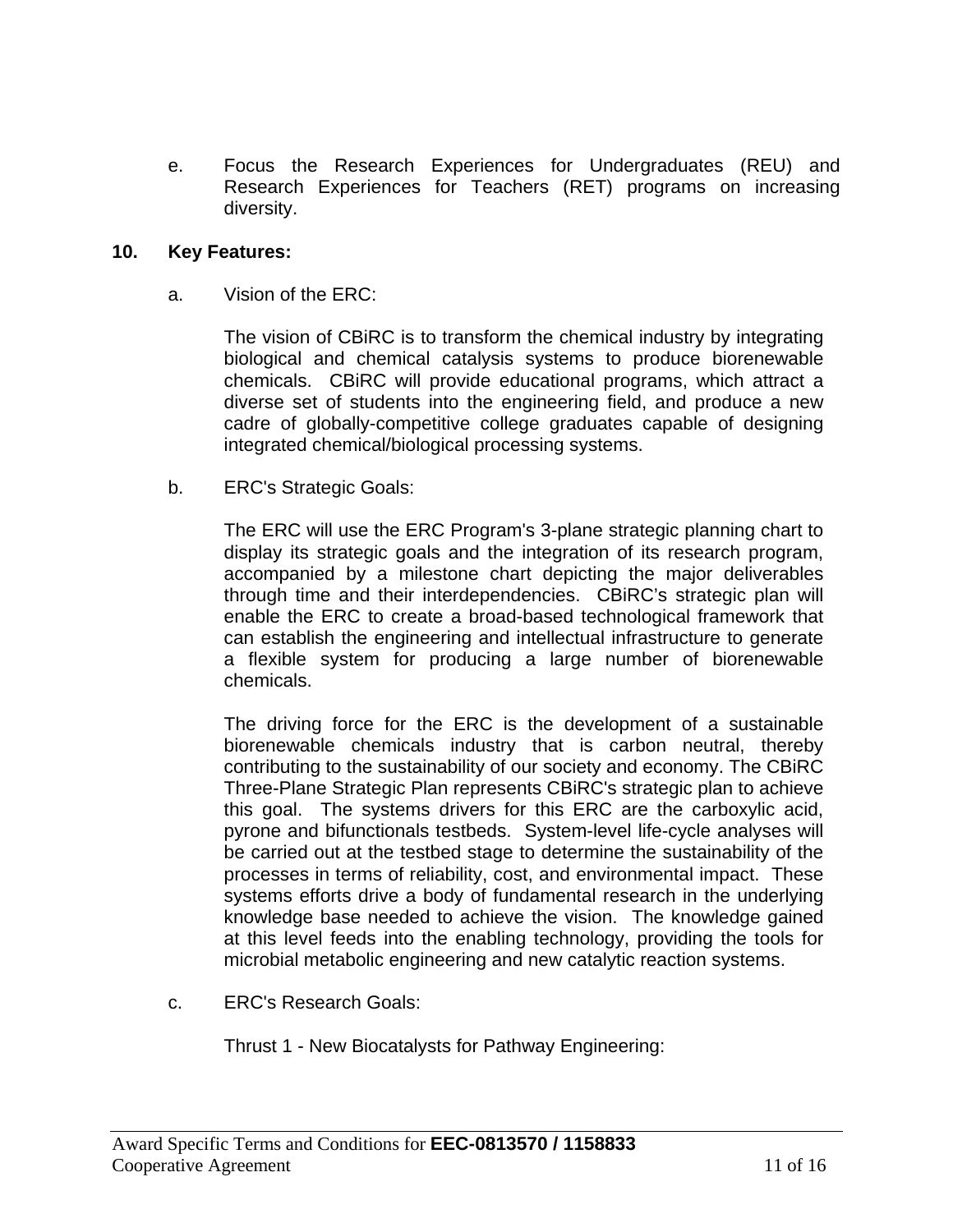e. Focus the Research Experiences for Undergraduates (REU) and Research Experiences for Teachers (RET) programs on increasing diversity.

#### **10. Key Features:**

a. Vision of the ERC:

The vision of CBiRC is to transform the chemical industry by integrating biological and chemical catalysis systems to produce biorenewable chemicals. CBiRC will provide educational programs, which attract a diverse set of students into the engineering field, and produce a new cadre of globally-competitive college graduates capable of designing integrated chemical/biological processing systems.

b. ERC's Strategic Goals:

The ERC will use the ERC Program's 3-plane strategic planning chart to display its strategic goals and the integration of its research program, accompanied by a milestone chart depicting the major deliverables through time and their interdependencies. CBiRC's strategic plan will enable the ERC to create a broad-based technological framework that can establish the engineering and intellectual infrastructure to generate a flexible system for producing a large number of biorenewable chemicals.

The driving force for the ERC is the development of a sustainable biorenewable chemicals industry that is carbon neutral, thereby contributing to the sustainability of our society and economy. The CBiRC Three-Plane Strategic Plan represents CBiRC's strategic plan to achieve this goal. The systems drivers for this ERC are the carboxylic acid, pyrone and bifunctionals testbeds. System-level life-cycle analyses will be carried out at the testbed stage to determine the sustainability of the processes in terms of reliability, cost, and environmental impact. These systems efforts drive a body of fundamental research in the underlying knowledge base needed to achieve the vision. The knowledge gained at this level feeds into the enabling technology, providing the tools for microbial metabolic engineering and new catalytic reaction systems.

c. ERC's Research Goals:

Thrust 1 - New Biocatalysts for Pathway Engineering: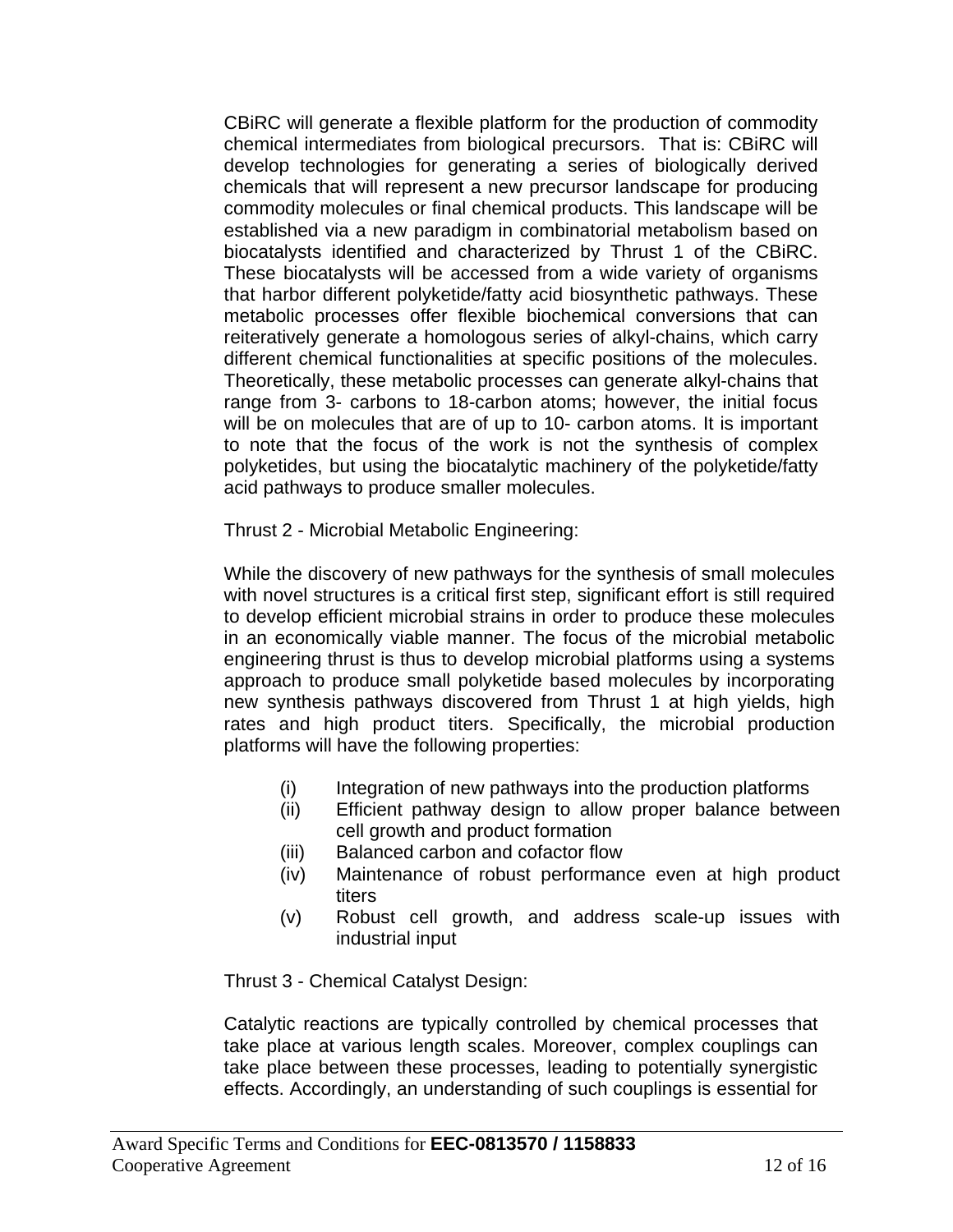CBiRC will generate a flexible platform for the production of commodity chemical intermediates from biological precursors. That is: CBiRC will develop technologies for generating a series of biologically derived chemicals that will represent a new precursor landscape for producing commodity molecules or final chemical products. This landscape will be established via a new paradigm in combinatorial metabolism based on biocatalysts identified and characterized by Thrust 1 of the CBiRC. These biocatalysts will be accessed from a wide variety of organisms that harbor different polyketide/fatty acid biosynthetic pathways. These metabolic processes offer flexible biochemical conversions that can reiteratively generate a homologous series of alkyl-chains, which carry different chemical functionalities at specific positions of the molecules. Theoretically, these metabolic processes can generate alkyl-chains that range from 3- carbons to 18-carbon atoms; however, the initial focus will be on molecules that are of up to 10- carbon atoms. It is important to note that the focus of the work is not the synthesis of complex polyketides, but using the biocatalytic machinery of the polyketide/fatty acid pathways to produce smaller molecules.

Thrust 2 - Microbial Metabolic Engineering:

While the discovery of new pathways for the synthesis of small molecules with novel structures is a critical first step, significant effort is still required to develop efficient microbial strains in order to produce these molecules in an economically viable manner. The focus of the microbial metabolic engineering thrust is thus to develop microbial platforms using a systems approach to produce small polyketide based molecules by incorporating new synthesis pathways discovered from Thrust 1 at high yields, high rates and high product titers. Specifically, the microbial production platforms will have the following properties:

- (i) Integration of new pathways into the production platforms
- (ii) Efficient pathway design to allow proper balance between cell growth and product formation
- (iii) Balanced carbon and cofactor flow
- (iv) Maintenance of robust performance even at high product titers
- (v) Robust cell growth, and address scale-up issues with industrial input

Thrust 3 - Chemical Catalyst Design:

Catalytic reactions are typically controlled by chemical processes that take place at various length scales. Moreover, complex couplings can take place between these processes, leading to potentially synergistic effects. Accordingly, an understanding of such couplings is essential for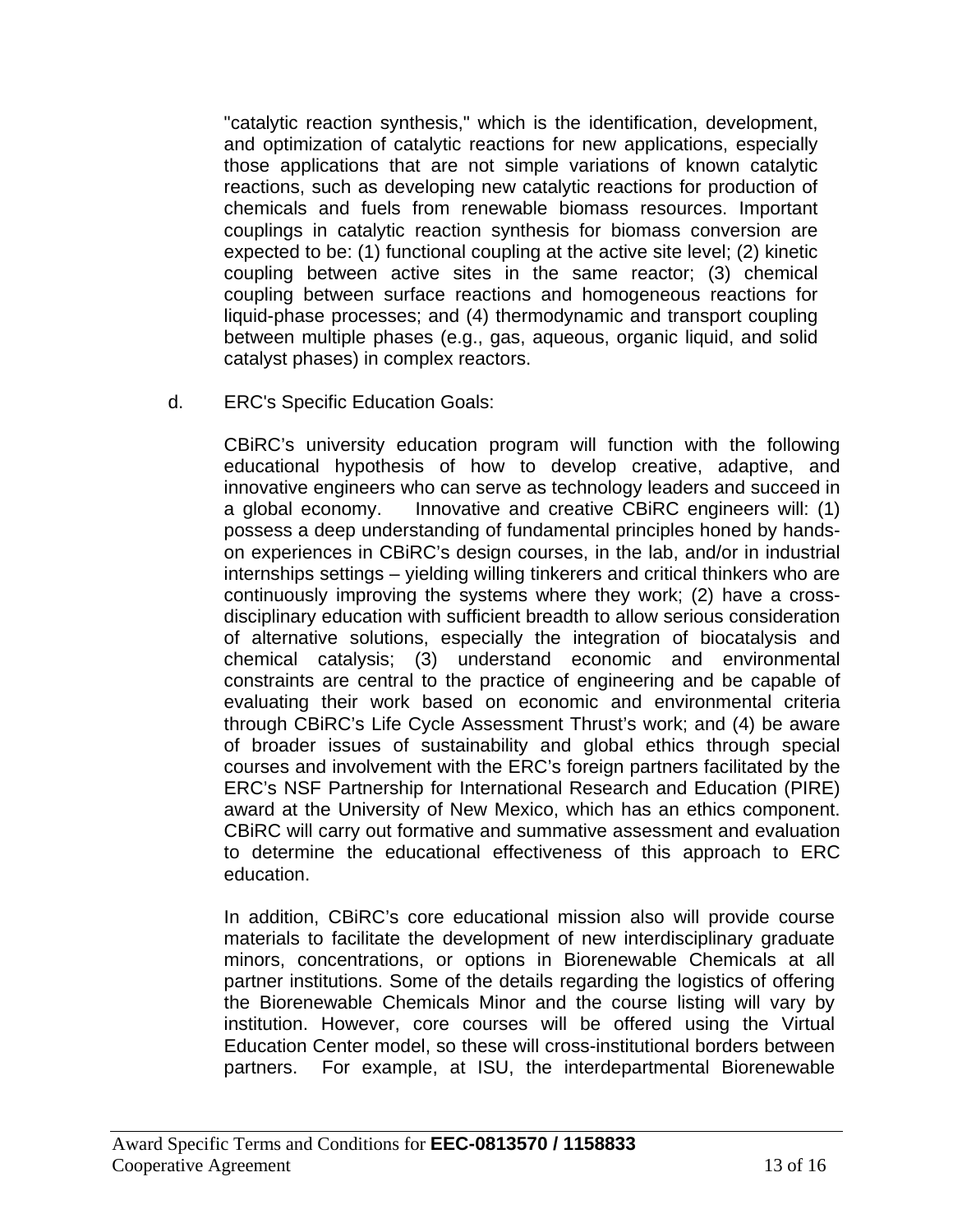"catalytic reaction synthesis," which is the identification, development, and optimization of catalytic reactions for new applications, especially those applications that are not simple variations of known catalytic reactions, such as developing new catalytic reactions for production of chemicals and fuels from renewable biomass resources. Important couplings in catalytic reaction synthesis for biomass conversion are expected to be: (1) functional coupling at the active site level; (2) kinetic coupling between active sites in the same reactor; (3) chemical coupling between surface reactions and homogeneous reactions for liquid-phase processes; and (4) thermodynamic and transport coupling between multiple phases (e.g., gas, aqueous, organic liquid, and solid catalyst phases) in complex reactors.

d. ERC's Specific Education Goals:

CBiRC's university education program will function with the following educational hypothesis of how to develop creative, adaptive, and innovative engineers who can serve as technology leaders and succeed in a global economy. Innovative and creative CBiRC engineers will: (1) possess a deep understanding of fundamental principles honed by handson experiences in CBiRC's design courses, in the lab, and/or in industrial internships settings – yielding willing tinkerers and critical thinkers who are continuously improving the systems where they work; (2) have a crossdisciplinary education with sufficient breadth to allow serious consideration of alternative solutions, especially the integration of biocatalysis and chemical catalysis; (3) understand economic and environmental constraints are central to the practice of engineering and be capable of evaluating their work based on economic and environmental criteria through CBiRC's Life Cycle Assessment Thrust's work; and (4) be aware of broader issues of sustainability and global ethics through special courses and involvement with the ERC's foreign partners facilitated by the ERC's NSF Partnership for International Research and Education (PIRE) award at the University of New Mexico, which has an ethics component. CBiRC will carry out formative and summative assessment and evaluation to determine the educational effectiveness of this approach to ERC education.

In addition, CBiRC's core educational mission also will provide course materials to facilitate the development of new interdisciplinary graduate minors, concentrations, or options in Biorenewable Chemicals at all partner institutions. Some of the details regarding the logistics of offering the Biorenewable Chemicals Minor and the course listing will vary by institution. However, core courses will be offered using the Virtual Education Center model, so these will cross-institutional borders between partners. For example, at ISU, the interdepartmental Biorenewable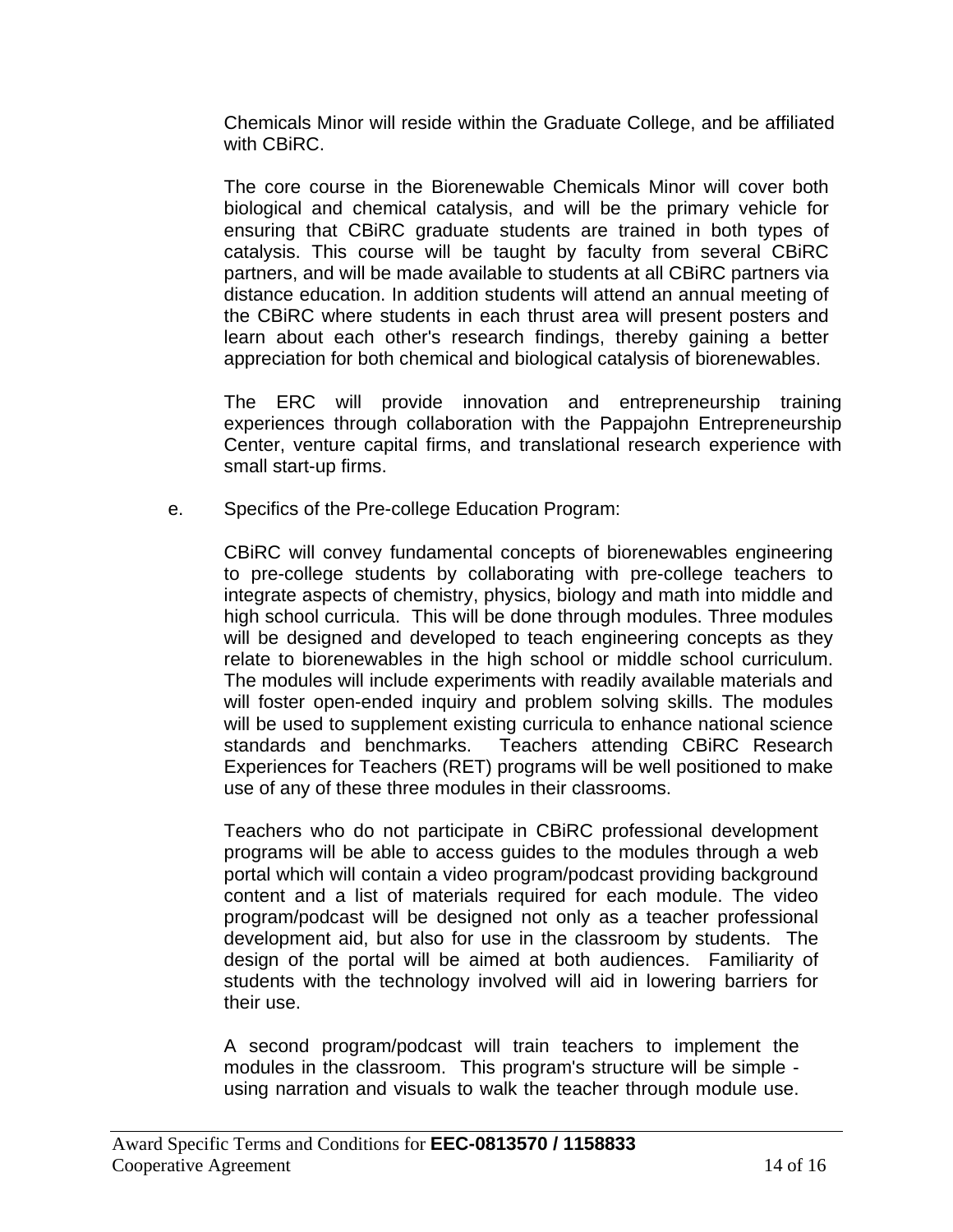Chemicals Minor will reside within the Graduate College, and be affiliated with CBiRC.

The core course in the Biorenewable Chemicals Minor will cover both biological and chemical catalysis, and will be the primary vehicle for ensuring that CBiRC graduate students are trained in both types of catalysis. This course will be taught by faculty from several CBiRC partners, and will be made available to students at all CBiRC partners via distance education. In addition students will attend an annual meeting of the CBiRC where students in each thrust area will present posters and learn about each other's research findings, thereby gaining a better appreciation for both chemical and biological catalysis of biorenewables.

The ERC will provide innovation and entrepreneurship training experiences through collaboration with the Pappajohn Entrepreneurship Center, venture capital firms, and translational research experience with small start-up firms.

e. Specifics of the Pre-college Education Program:

CBiRC will convey fundamental concepts of biorenewables engineering to pre-college students by collaborating with pre-college teachers to integrate aspects of chemistry, physics, biology and math into middle and high school curricula. This will be done through modules. Three modules will be designed and developed to teach engineering concepts as they relate to biorenewables in the high school or middle school curriculum. The modules will include experiments with readily available materials and will foster open-ended inquiry and problem solving skills. The modules will be used to supplement existing curricula to enhance national science standards and benchmarks. Teachers attending CBiRC Research Experiences for Teachers (RET) programs will be well positioned to make use of any of these three modules in their classrooms.

Teachers who do not participate in CBiRC professional development programs will be able to access guides to the modules through a web portal which will contain a video program/podcast providing background content and a list of materials required for each module. The video program/podcast will be designed not only as a teacher professional development aid, but also for use in the classroom by students. The design of the portal will be aimed at both audiences. Familiarity of students with the technology involved will aid in lowering barriers for their use.

A second program/podcast will train teachers to implement the modules in the classroom. This program's structure will be simple using narration and visuals to walk the teacher through module use.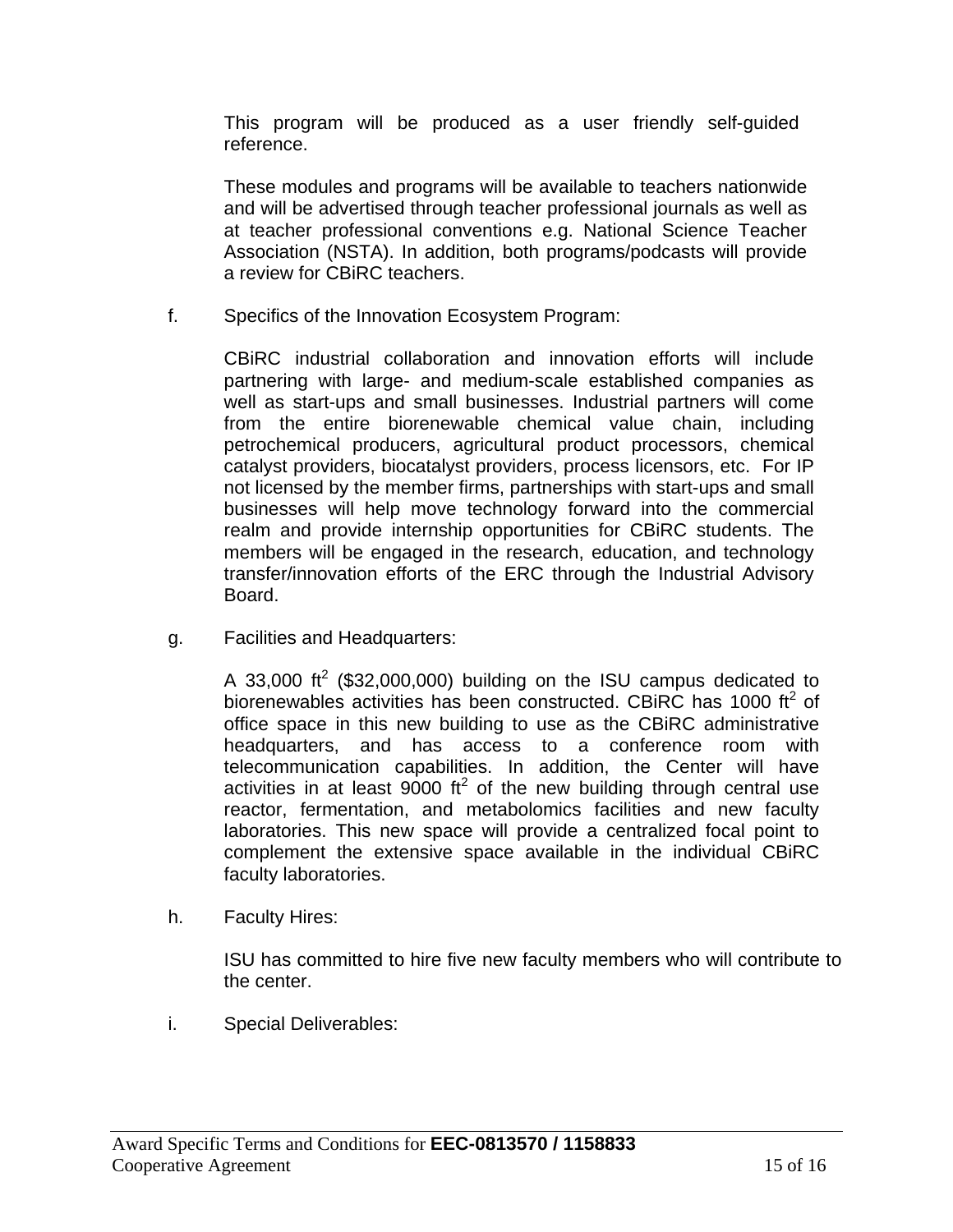This program will be produced as a user friendly self-guided reference.

These modules and programs will be available to teachers nationwide and will be advertised through teacher professional journals as well as at teacher professional conventions e.g. National Science Teacher Association (NSTA). In addition, both programs/podcasts will provide a review for CBiRC teachers.

f. Specifics of the Innovation Ecosystem Program:

CBiRC industrial collaboration and innovation efforts will include partnering with large- and medium-scale established companies as well as start-ups and small businesses. Industrial partners will come from the entire biorenewable chemical value chain, including petrochemical producers, agricultural product processors, chemical catalyst providers, biocatalyst providers, process licensors, etc. For IP not licensed by the member firms, partnerships with start-ups and small businesses will help move technology forward into the commercial realm and provide internship opportunities for CBiRC students. The members will be engaged in the research, education, and technology transfer/innovation efforts of the ERC through the Industrial Advisory Board.

g. Facilities and Headquarters:

A 33,000 ft<sup>2</sup> (\$32,000,000) building on the ISU campus dedicated to biorenewables activities has been constructed. CBiRC has 1000 ft<sup>2</sup> of office space in this new building to use as the CBiRC administrative headquarters, and has access to a conference room with telecommunication capabilities. In addition, the Center will have activities in at least  $9000$  ft<sup>2</sup> of the new building through central use reactor, fermentation, and metabolomics facilities and new faculty laboratories. This new space will provide a centralized focal point to complement the extensive space available in the individual CBiRC faculty laboratories.

h. Faculty Hires:

ISU has committed to hire five new faculty members who will contribute to the center.

i. Special Deliverables: